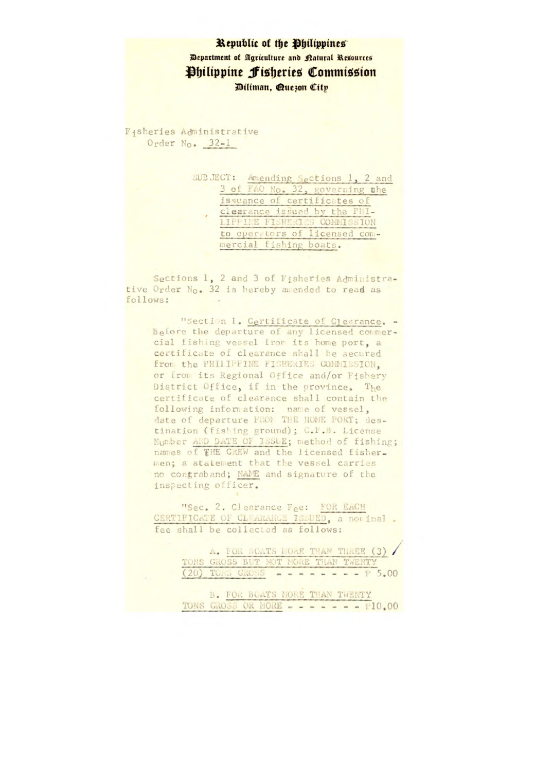## Republic of the Philippines Department of Agriculture and natural Resources Philippine Fisheries Commission Diliman, Que30n City

Fisheries Administrative Order No. 32-1

> SUBJECT: Amending Sections 1, 2 and 3 of FAO No. 32, governing the issuance of certificates of clearance issued by the PHI-<br>LIPPINE FISHERIES COMMISSION to operators of licensed commercial fishing boats.

Sections 1, 2 and 3 of Fisheries Administrative Order No. 32 is hereby amended to read as follows:

"Section 1. Certificate of Clearance. -Before the departure of any licensed commercial fishing vessel from its home port, a certificate of clearance shall be secured from the PHILIPPINE FISHERIES COMMISSION, or from its Regional Office and/or Fishery District Office, if in the province. The certificate of clearance shall contain the following information: name of vessel, date of departure FRON THE HOME PORT; destination (fishing ground); C.F.B. License Number AND DATE OF ISSUE; method of fishing; names of THE CREW and the licensed fisher. men; a statement that the vessel carries no contraband; NAME and signature of the inspecting officer.

"Sec. 2. Clearance Fee: FOR EACH CERTIFICATE OF CLEARANCE ISSUED, a nor inal. fee shall be collected as follows:

> A. FOR BOATS MORE THAN THREE (3) TONS GROSS BUT NOT MORE THAN TWENTY  $(20)$  TOMS GROSS - - - - - - - - P 5.00

> B. FOR BOATS MORE THAN TWENTY TONS GROSS OR MORE - - - - - - - 10.00